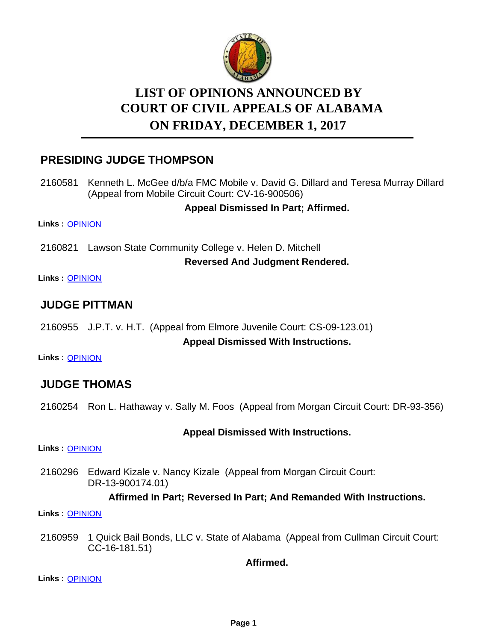

# **LIST OF OPINIONS ANNOUNCED BY ON FRIDAY, DECEMBER 1, 2017 COURT OF CIVIL APPEALS OF ALABAMA**

# **PRESIDING JUDGE THOMPSON**

2160581 Kenneth L. McGee d/b/a FMC Mobile v. David G. Dillard and Teresa Murray Dillard (Appeal from Mobile Circuit Court: CV-16-900506)

**Appeal Dismissed In Part; Affirmed.**

**Links :** [OPINION](https://acis.alabama.gov/displaydocs.cfm?no=841872&event=52M0IK1T7)

2160821 Lawson State Community College v. Helen D. Mitchell

**Reversed And Judgment Rendered.**

**Links :** [OPINION](https://acis.alabama.gov/displaydocs.cfm?no=841873&event=52M0IK1XE)

## **JUDGE PITTMAN**

2160955 J.P.T. v. H.T. (Appeal from Elmore Juvenile Court: CS-09-123.01)

**Appeal Dismissed With Instructions.**

**Links :** [OPINION](https://acis.alabama.gov/displaydocs.cfm?no=841875&event=52M0IK2IR)

# **JUDGE THOMAS**

2160254 Ron L. Hathaway v. Sally M. Foos (Appeal from Morgan Circuit Court: DR-93-356)

#### **Appeal Dismissed With Instructions.**

**Links :** [OPINION](https://acis.alabama.gov/displaydocs.cfm?no=841870&event=52M0IK1KB)

2160296 Edward Kizale v. Nancy Kizale (Appeal from Morgan Circuit Court: DR-13-900174.01)

#### **Affirmed In Part; Reversed In Part; And Remanded With Instructions.**

**Links :** [OPINION](https://acis.alabama.gov/displaydocs.cfm?no=841871&event=52M0IK1OR)

2160959 1 Quick Bail Bonds, LLC v. State of Alabama (Appeal from Cullman Circuit Court: CC-16-181.51)

**Affirmed.**

**Links :** [OPINION](https://acis.alabama.gov/displaydocs.cfm?no=841876&event=52M0IK2NH)